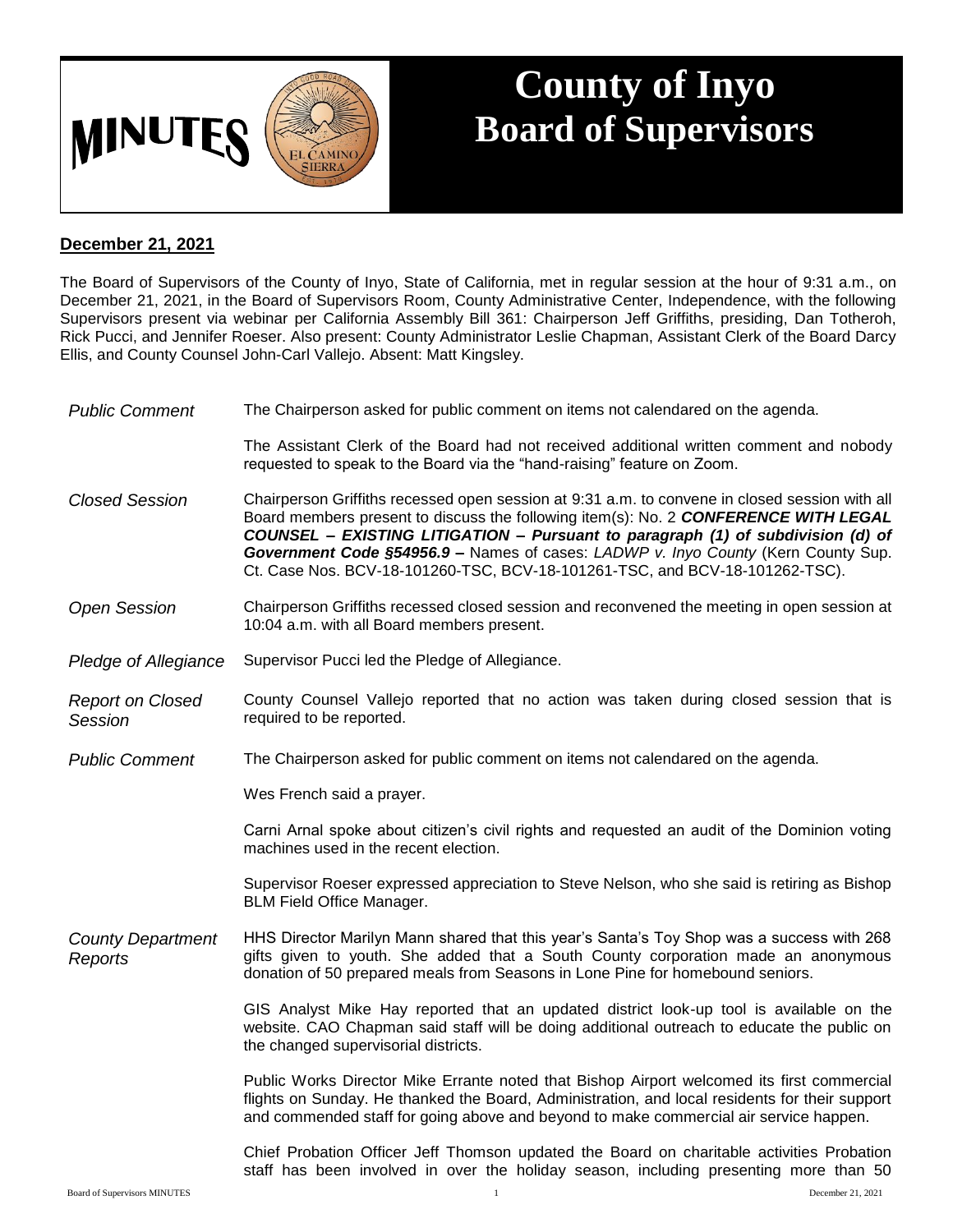

## **County of Inyo Board of Supervisors**

## **December 21, 2021**

The Board of Supervisors of the County of Inyo, State of California, met in regular session at the hour of 9:31 a.m., on December 21, 2021, in the Board of Supervisors Room, County Administrative Center, Independence, with the following Supervisors present via webinar per California Assembly Bill 361: Chairperson Jeff Griffiths, presiding, Dan Totheroh, Rick Pucci, and Jennifer Roeser. Also present: County Administrator Leslie Chapman, Assistant Clerk of the Board Darcy Ellis, and County Counsel John-Carl Vallejo. Absent: Matt Kingsley.

| <b>Public Comment</b>                     | The Chairperson asked for public comment on items not calendared on the agenda.                                                                                                                                                                                                                                                                                                                                                              |
|-------------------------------------------|----------------------------------------------------------------------------------------------------------------------------------------------------------------------------------------------------------------------------------------------------------------------------------------------------------------------------------------------------------------------------------------------------------------------------------------------|
|                                           | The Assistant Clerk of the Board had not received additional written comment and nobody<br>requested to speak to the Board via the "hand-raising" feature on Zoom.                                                                                                                                                                                                                                                                           |
| <b>Closed Session</b>                     | Chairperson Griffiths recessed open session at 9:31 a.m. to convene in closed session with all<br>Board members present to discuss the following item(s): No. 2 CONFERENCE WITH LEGAL<br>COUNSEL - EXISTING LITIGATION - Pursuant to paragraph (1) of subdivision (d) of<br>Government Code §54956.9 - Names of cases: LADWP v. Inyo County (Kern County Sup.<br>Ct. Case Nos. BCV-18-101260-TSC, BCV-18-101261-TSC, and BCV-18-101262-TSC). |
| <b>Open Session</b>                       | Chairperson Griffiths recessed closed session and reconvened the meeting in open session at<br>10:04 a.m. with all Board members present.                                                                                                                                                                                                                                                                                                    |
| Pledge of Allegiance                      | Supervisor Pucci led the Pledge of Allegiance.                                                                                                                                                                                                                                                                                                                                                                                               |
| <b>Report on Closed</b><br><b>Session</b> | County Counsel Vallejo reported that no action was taken during closed session that is<br>required to be reported.                                                                                                                                                                                                                                                                                                                           |
| <b>Public Comment</b>                     | The Chairperson asked for public comment on items not calendared on the agenda.                                                                                                                                                                                                                                                                                                                                                              |
|                                           | Wes French said a prayer.                                                                                                                                                                                                                                                                                                                                                                                                                    |
|                                           | Carni Arnal spoke about citizen's civil rights and requested an audit of the Dominion voting<br>machines used in the recent election.                                                                                                                                                                                                                                                                                                        |
|                                           | Supervisor Roeser expressed appreciation to Steve Nelson, who she said is retiring as Bishop<br><b>BLM Field Office Manager.</b>                                                                                                                                                                                                                                                                                                             |
| <b>County Department</b><br>Reports       | HHS Director Marilyn Mann shared that this year's Santa's Toy Shop was a success with 268<br>gifts given to youth. She added that a South County corporation made an anonymous<br>donation of 50 prepared meals from Seasons in Lone Pine for homebound seniors.                                                                                                                                                                             |
|                                           | GIS Analyst Mike Hay reported that an updated district look-up tool is available on the<br>website. CAO Chapman said staff will be doing additional outreach to educate the public on<br>the changed supervisorial districts.                                                                                                                                                                                                                |
|                                           | Public Works Director Mike Errante noted that Bishop Airport welcomed its first commercial<br>flights on Sunday. He thanked the Board, Administration, and local residents for their support<br>and commended staff for going above and beyond to make commercial air service happen.                                                                                                                                                        |
|                                           | Chief Probation Officer Jeff Thomson updated the Board on charitable activities Probation<br>staff has been involved in over the holiday season, including presenting more than 50                                                                                                                                                                                                                                                           |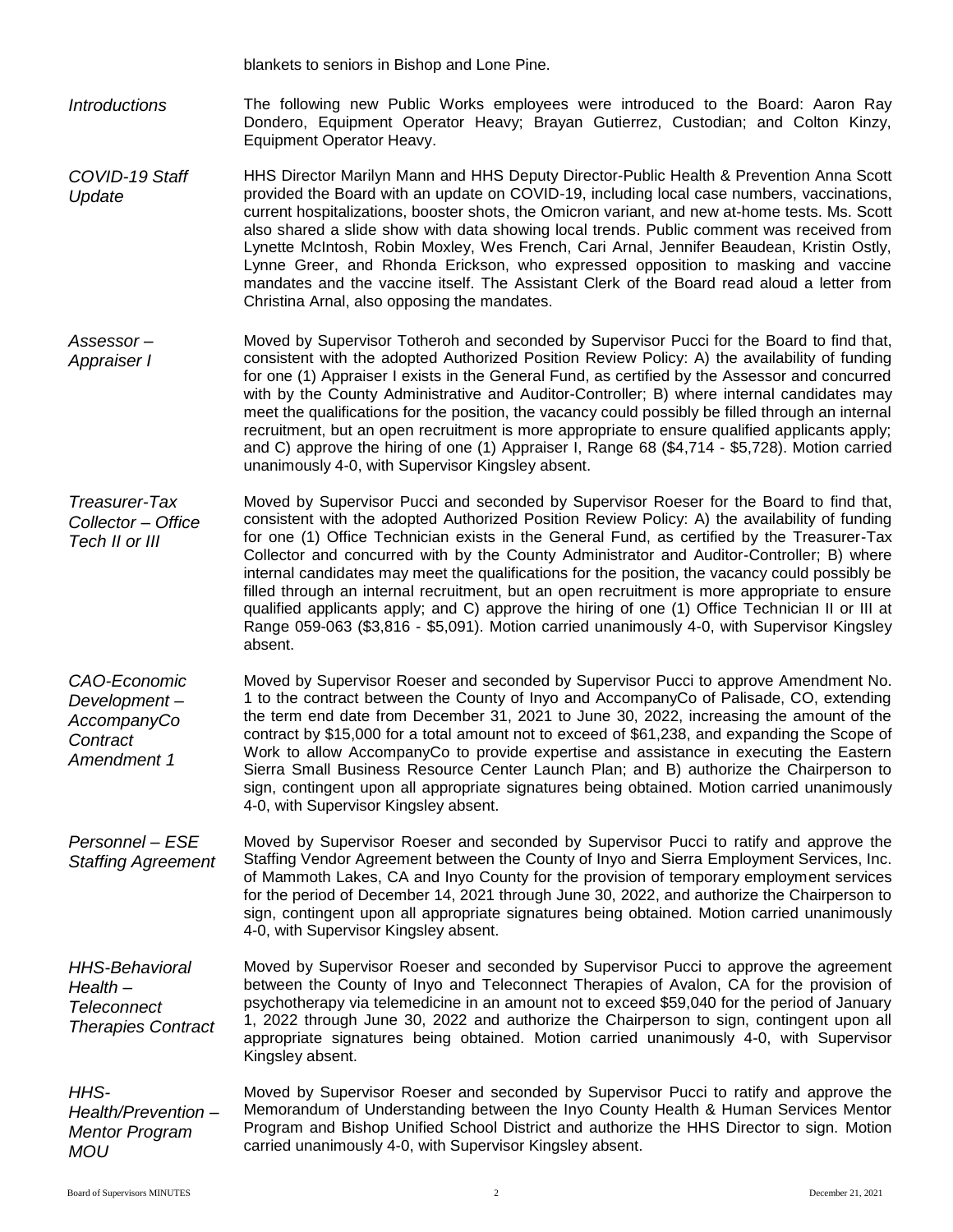blankets to seniors in Bishop and Lone Pine.

*Introductions* The following new Public Works employees were introduced to the Board: Aaron Ray Dondero, Equipment Operator Heavy; Brayan Gutierrez, Custodian; and Colton Kinzy, Equipment Operator Heavy.

- *COVID-19 Staff Update* HHS Director Marilyn Mann and HHS Deputy Director-Public Health & Prevention Anna Scott provided the Board with an update on COVID-19, including local case numbers, vaccinations, current hospitalizations, booster shots, the Omicron variant, and new at-home tests. Ms. Scott also shared a slide show with data showing local trends. Public comment was received from Lynette McIntosh, Robin Moxley, Wes French, Cari Arnal, Jennifer Beaudean, Kristin Ostly, Lynne Greer, and Rhonda Erickson, who expressed opposition to masking and vaccine mandates and the vaccine itself. The Assistant Clerk of the Board read aloud a letter from Christina Arnal, also opposing the mandates.
- *Assessor – Appraiser I* Moved by Supervisor Totheroh and seconded by Supervisor Pucci for the Board to find that, consistent with the adopted Authorized Position Review Policy: A) the availability of funding for one (1) Appraiser I exists in the General Fund, as certified by the Assessor and concurred with by the County Administrative and Auditor-Controller; B) where internal candidates may meet the qualifications for the position, the vacancy could possibly be filled through an internal recruitment, but an open recruitment is more appropriate to ensure qualified applicants apply; and C) approve the hiring of one (1) Appraiser I, Range 68 (\$4,714 - \$5,728). Motion carried unanimously 4-0, with Supervisor Kingsley absent.

*Treasurer-Tax Collector – Office Tech II or III* Moved by Supervisor Pucci and seconded by Supervisor Roeser for the Board to find that, consistent with the adopted Authorized Position Review Policy: A) the availability of funding for one (1) Office Technician exists in the General Fund, as certified by the Treasurer-Tax Collector and concurred with by the County Administrator and Auditor-Controller; B) where internal candidates may meet the qualifications for the position, the vacancy could possibly be filled through an internal recruitment, but an open recruitment is more appropriate to ensure qualified applicants apply; and C) approve the hiring of one (1) Office Technician II or III at Range 059-063 (\$3,816 - \$5,091). Motion carried unanimously 4-0, with Supervisor Kingsley absent.

*CAO-Economic Development – AccompanyCo Contract Amendment 1* Moved by Supervisor Roeser and seconded by Supervisor Pucci to approve Amendment No. 1 to the contract between the County of Inyo and AccompanyCo of Palisade, CO, extending the term end date from December 31, 2021 to June 30, 2022, increasing the amount of the contract by \$15,000 for a total amount not to exceed of \$61,238, and expanding the Scope of Work to allow AccompanyCo to provide expertise and assistance in executing the Eastern Sierra Small Business Resource Center Launch Plan; and B) authorize the Chairperson to sign, contingent upon all appropriate signatures being obtained. Motion carried unanimously 4-0, with Supervisor Kingsley absent.

*Personnel – ESE Staffing Agreement* Moved by Supervisor Roeser and seconded by Supervisor Pucci to ratify and approve the Staffing Vendor Agreement between the County of Inyo and Sierra Employment Services, Inc. of Mammoth Lakes, CA and Inyo County for the provision of temporary employment services for the period of December 14, 2021 through June 30, 2022, and authorize the Chairperson to sign, contingent upon all appropriate signatures being obtained. Motion carried unanimously 4-0, with Supervisor Kingsley absent.

*HHS-Behavioral Health – Teleconnect Therapies Contract* Moved by Supervisor Roeser and seconded by Supervisor Pucci to approve the agreement between the County of Inyo and Teleconnect Therapies of Avalon, CA for the provision of psychotherapy via telemedicine in an amount not to exceed \$59,040 for the period of January 1, 2022 through June 30, 2022 and authorize the Chairperson to sign, contingent upon all appropriate signatures being obtained. Motion carried unanimously 4-0, with Supervisor Kingsley absent.

*Health/Prevention – Mentor Program*  Moved by Supervisor Roeser and seconded by Supervisor Pucci to ratify and approve the Memorandum of Understanding between the Inyo County Health & Human Services Mentor Program and Bishop Unified School District and authorize the HHS Director to sign. Motion carried unanimously 4-0, with Supervisor Kingsley absent.

*HHS-*

*MOU*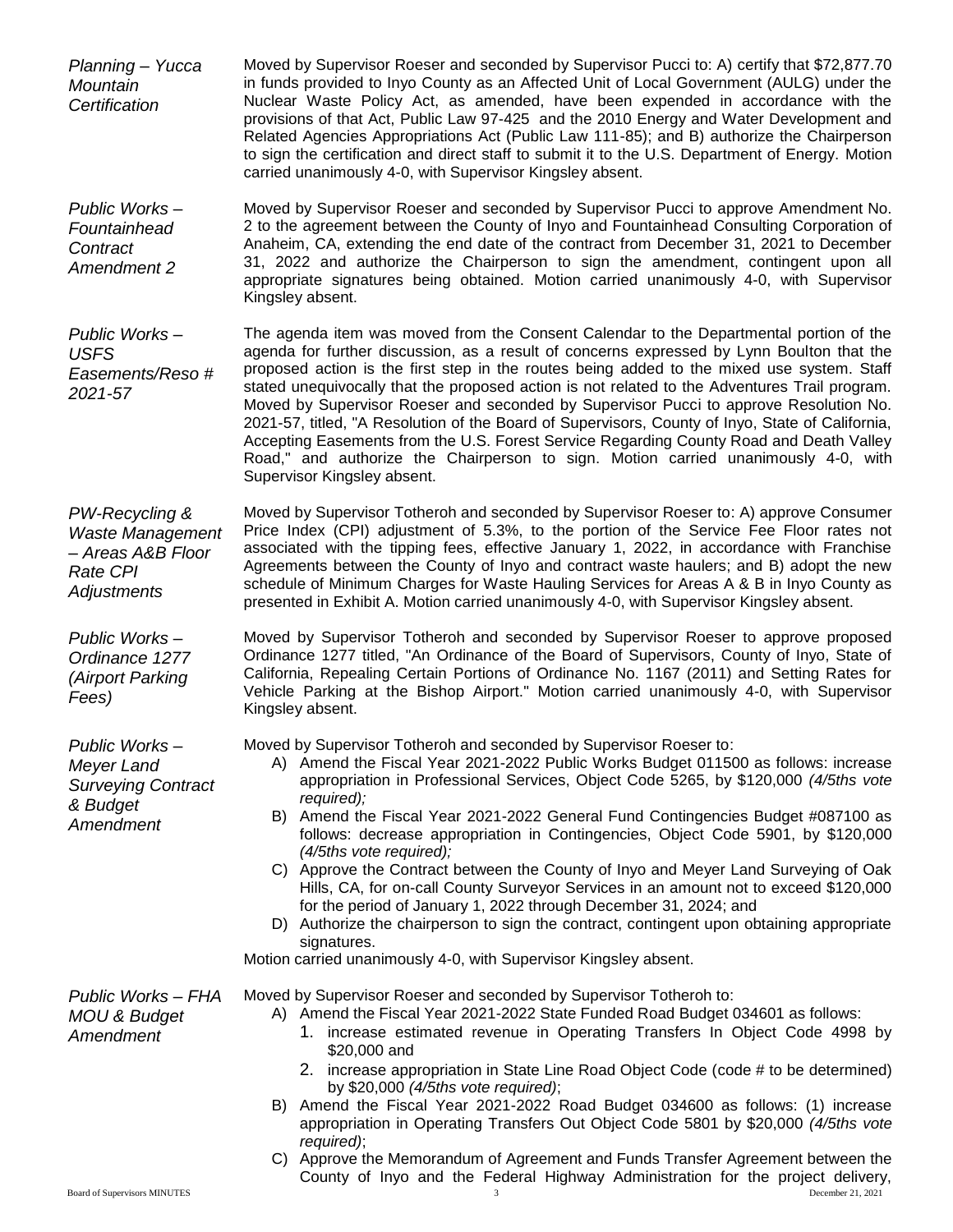*Planning – Yucca Mountain Certification* Moved by Supervisor Roeser and seconded by Supervisor Pucci to: A) certify that \$72,877.70 in funds provided to Inyo County as an Affected Unit of Local Government (AULG) under the Nuclear Waste Policy Act, as amended, have been expended in accordance with the provisions of that Act, Public Law 97-425 and the 2010 Energy and Water Development and Related Agencies Appropriations Act (Public Law 111-85); and B) authorize the Chairperson to sign the certification and direct staff to submit it to the U.S. Department of Energy. Motion carried unanimously 4-0, with Supervisor Kingsley absent. *Public Works – Fountainhead Contract Amendment 2* Moved by Supervisor Roeser and seconded by Supervisor Pucci to approve Amendment No. 2 to the agreement between the County of Inyo and Fountainhead Consulting Corporation of Anaheim, CA, extending the end date of the contract from December 31, 2021 to December 31, 2022 and authorize the Chairperson to sign the amendment, contingent upon all appropriate signatures being obtained. Motion carried unanimously 4-0, with Supervisor Kingsley absent. *Public Works – USFS Easements/Reso # 2021-57* The agenda item was moved from the Consent Calendar to the Departmental portion of the agenda for further discussion, as a result of concerns expressed by Lynn Boulton that the proposed action is the first step in the routes being added to the mixed use system. Staff stated unequivocally that the proposed action is not related to the Adventures Trail program. Moved by Supervisor Roeser and seconded by Supervisor Pucci to approve Resolution No. 2021-57, titled, "A Resolution of the Board of Supervisors, County of Inyo, State of California, Accepting Easements from the U.S. Forest Service Regarding County Road and Death Valley Road," and authorize the Chairperson to sign. Motion carried unanimously 4-0, with Supervisor Kingsley absent. *PW-Recycling & Waste Management – Areas A&B Floor Rate CPI Adjustments* Moved by Supervisor Totheroh and seconded by Supervisor Roeser to: A) approve Consumer Price Index (CPI) adjustment of 5.3%, to the portion of the Service Fee Floor rates not associated with the tipping fees, effective January 1, 2022, in accordance with Franchise Agreements between the County of Inyo and contract waste haulers; and B) adopt the new schedule of Minimum Charges for Waste Hauling Services for Areas A & B in Inyo County as presented in Exhibit A. Motion carried unanimously 4-0, with Supervisor Kingsley absent. *Public Works – Ordinance 1277 (Airport Parking Fees)* Moved by Supervisor Totheroh and seconded by Supervisor Roeser to approve proposed Ordinance 1277 titled, "An Ordinance of the Board of Supervisors, County of Inyo, State of California, Repealing Certain Portions of Ordinance No. 1167 (2011) and Setting Rates for Vehicle Parking at the Bishop Airport." Motion carried unanimously 4-0, with Supervisor Kingsley absent. *Public Works – Meyer Land Surveying Contract & Budget Amendment* Moved by Supervisor Totheroh and seconded by Supervisor Roeser to: A) Amend the Fiscal Year 2021-2022 Public Works Budget 011500 as follows: increase appropriation in Professional Services, Object Code 5265, by \$120,000 *(4/5ths vote required);* B) Amend the Fiscal Year 2021-2022 General Fund Contingencies Budget #087100 as follows: decrease appropriation in Contingencies, Object Code 5901, by \$120,000 *(4/5ths vote required);* C) Approve the Contract between the County of Inyo and Meyer Land Surveying of Oak Hills, CA, for on-call County Surveyor Services in an amount not to exceed \$120,000 for the period of January 1, 2022 through December 31, 2024; and D) Authorize the chairperson to sign the contract, contingent upon obtaining appropriate signatures. Motion carried unanimously 4-0, with Supervisor Kingsley absent. *Public Works – FHA MOU & Budget Amendment* Moved by Supervisor Roeser and seconded by Supervisor Totheroh to: A) Amend the Fiscal Year 2021-2022 State Funded Road Budget 034601 as follows: 1. increase estimated revenue in Operating Transfers In Object Code 4998 by \$20,000 and 2. increase appropriation in State Line Road Object Code (code # to be determined) by \$20,000 *(4/5ths vote required)*; B) Amend the Fiscal Year 2021-2022 Road Budget 034600 as follows: (1) increase appropriation in Operating Transfers Out Object Code 5801 by \$20,000 *(4/5ths vote required)*; C) Approve the Memorandum of Agreement and Funds Transfer Agreement between the County of Inyo and the Federal Highway Administration for the project delivery,